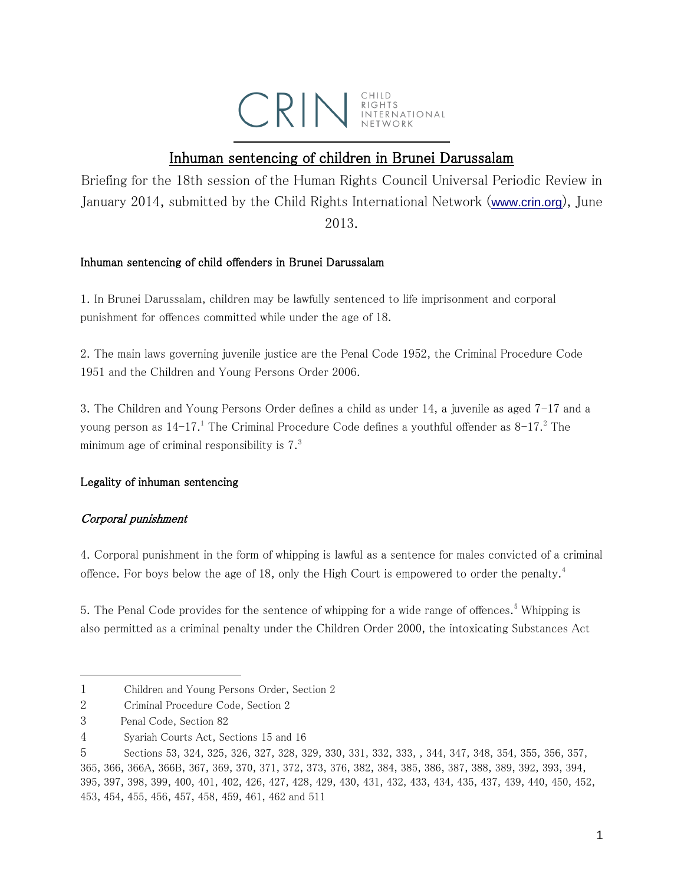

# Inhuman sentencing of children in Brunei Darussalam

Briefing for the 18th session of the Human Rights Council Universal Periodic Review in January 2014, submitted by the Child Rights International Network ([www.crin.org](http://www.crin.org/)), June 2013.

### Inhuman sentencing of child offenders in Brunei Darussalam

1. In Brunei Darussalam, children may be lawfully sentenced to life imprisonment and corporal punishment for offences committed while under the age of 18.

2. The main laws governing juvenile justice are the Penal Code 1952, the Criminal Procedure Code 1951 and the Children and Young Persons Order 2006.

3. The Children and Young Persons Order defines a child as under 14, a juvenile as aged 7-17 and a young person as  $14-17$ .<sup>1</sup> The Criminal Procedure Code defines a youthful offender as  $8-17$ .<sup>2</sup> The minimum age of criminal responsibility is 7. 3

# Legality of inhuman sentencing

# Corporal punishment

4. Corporal punishment in the form of whipping is lawful as a sentence for males convicted of a criminal offence. For boys below the age of 18, only the High Court is empowered to order the penalty.<sup>4</sup>

5. The Penal Code provides for the sentence of whipping for a wide range of offences.<sup>5</sup> Whipping is also permitted as a criminal penalty under the Children Order 2000, the intoxicating Substances Act

 $\overline{a}$ 

<sup>1</sup> Children and Young Persons Order, Section 2

<sup>2</sup> Criminal Procedure Code, Section 2

<sup>3</sup> Penal Code, Section 82

<sup>4</sup> Syariah Courts Act, Sections 15 and 16

<sup>5</sup> Sections 53, 324, 325, 326, 327, 328, 329, 330, 331, 332, 333, , 344, 347, 348, 354, 355, 356, 357, 365, 366, 366A, 366B, 367, 369, 370, 371, 372, 373, 376, 382, 384, 385, 386, 387, 388, 389, 392, 393, 394, 395, 397, 398, 399, 400, 401, 402, 426, 427, 428, 429, 430, 431, 432, 433, 434, 435, 437, 439, 440, 450, 452, 453, 454, 455, 456, 457, 458, 459, 461, 462 and 511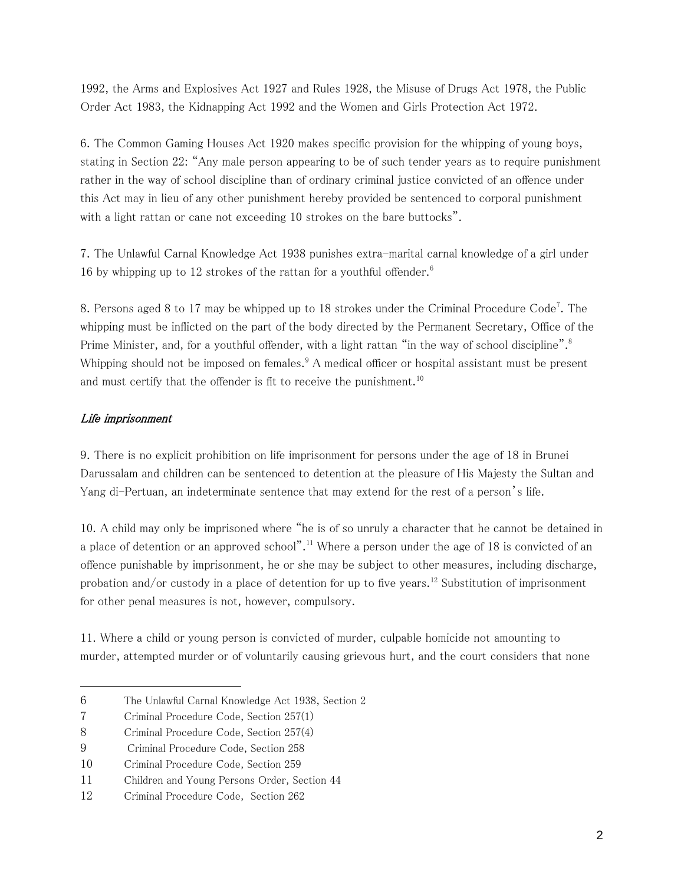1992, the Arms and Explosives Act 1927 and Rules 1928, the Misuse of Drugs Act 1978, the Public Order Act 1983, the Kidnapping Act 1992 and the Women and Girls Protection Act 1972.

6. The Common Gaming Houses Act 1920 makes specific provision for the whipping of young boys, stating in Section 22: "Any male person appearing to be of such tender years as to require punishment rather in the way of school discipline than of ordinary criminal justice convicted of an offence under this Act may in lieu of any other punishment hereby provided be sentenced to corporal punishment with a light rattan or cane not exceeding 10 strokes on the bare buttocks".

7. The Unlawful Carnal Knowledge Act 1938 punishes extra-marital carnal knowledge of a girl under 16 by whipping up to 12 strokes of the rattan for a youthful offender.<sup>6</sup>

8. Persons aged 8 to 17 may be whipped up to 18 strokes under the Criminal Procedure Code<sup>7</sup>. The whipping must be inflicted on the part of the body directed by the Permanent Secretary, Office of the Prime Minister, and, for a youthful offender, with a light rattan "in the way of school discipline".<sup>8</sup> Whipping should not be imposed on females.<sup>9</sup> A medical officer or hospital assistant must be present and must certify that the offender is fit to receive the punishment.<sup>10</sup>

### Life imprisonment

9. There is no explicit prohibition on life imprisonment for persons under the age of 18 in Brunei Darussalam and children can be sentenced to detention at the pleasure of His Majesty the Sultan and Yang di-Pertuan, an indeterminate sentence that may extend for the rest of a person's life.

10. A child may only be imprisoned where "he is of so unruly a character that he cannot be detained in a place of detention or an approved school".<sup>11</sup> Where a person under the age of 18 is convicted of an offence punishable by imprisonment, he or she may be subject to other measures, including discharge, probation and/or custody in a place of detention for up to five years.<sup>12</sup> Substitution of imprisonment for other penal measures is not, however, compulsory.

11. Where a child or young person is convicted of murder, culpable homicide not amounting to murder, attempted murder or of voluntarily causing grievous hurt, and the court considers that none

<sup>6</sup> The Unlawful Carnal Knowledge Act 1938, Section 2

<sup>7</sup> Criminal Procedure Code, Section 257(1)

<sup>8</sup> Criminal Procedure Code, Section 257(4)

<sup>9</sup> Criminal Procedure Code, Section 258

<sup>10</sup> Criminal Procedure Code, Section 259

<sup>11</sup> Children and Young Persons Order, Section 44

<sup>12</sup> Criminal Procedure Code, Section 262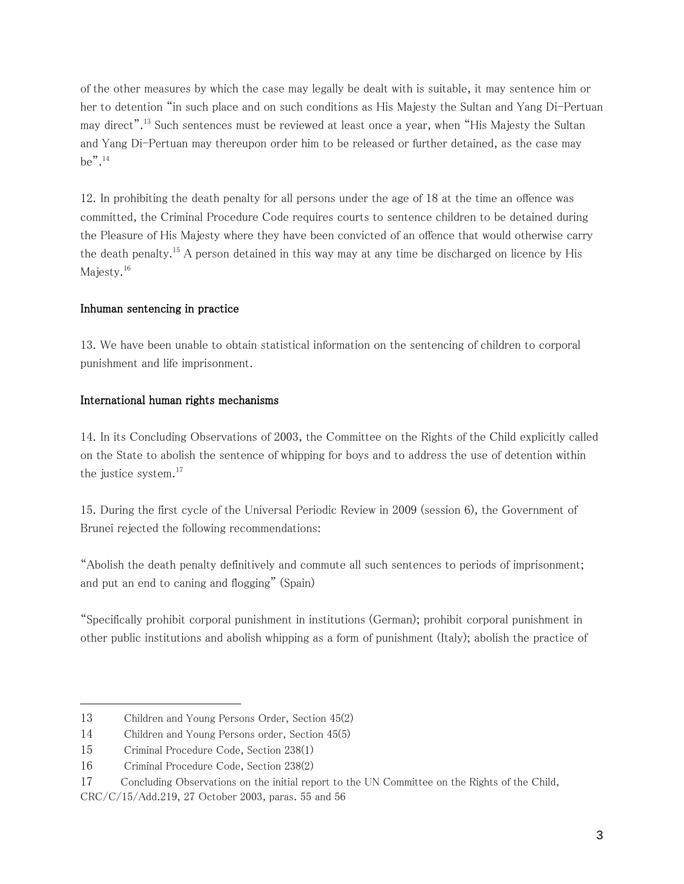of the other measures by which the case may legally be dealt with is suitable, it may sentence him or her to detention "in such place and on such conditions as His Majesty the Sultan and Yang Di-Pertuan may direct".<sup>13</sup> Such sentences must be reviewed at least once a year, when "His Majesty the Sultan and Yang Di-Pertuan may thereupon order him to be released or further detained, as the case may  $be$ ".<sup>14</sup>

12. In prohibiting the death penalty for all persons under the age of 18 at the time an offence was committed, the Criminal Procedure Code requires courts to sentence children to be detained during the Pleasure of His Majesty where they have been convicted of an offence that would otherwise carry the death penalty.<sup>15</sup> A person detained in this way may at any time be discharged on licence by His Majesty.<sup>16</sup>

#### Inhuman sentencing in practice

13. We have been unable to obtain statistical information on the sentencing of children to corporal punishment and life imprisonment.

#### International human rights mechanisms

14. In its Concluding Observations of 2003, the Committee on the Rights of the Child explicitly called on the State to abolish the sentence of whipping for boys and to address the use of detention within the justice system. $17$ 

15. During the first cycle of the Universal Periodic Review in 2009 (session 6), the Government of Brunei rejected the following recommendations:

"Abolish the death penalty definitively and commute all such sentences to periods of imprisonment; and put an end to caning and flogging" (Spain)

"Specifically prohibit corporal punishment in institutions (German); prohibit corporal punishment in other public institutions and abolish whipping as a form of punishment (Italy); abolish the practice of

 $\overline{a}$ 

<sup>13</sup> Children and Young Persons Order, Section 45(2)

<sup>14</sup> Children and Young Persons order, Section 45(5)

<sup>15</sup> Criminal Procedure Code, Section 238(1)

<sup>16</sup> Criminal Procedure Code, Section 238(2)

<sup>17</sup> Concluding Observations on the initial report to the UN Committee on the Rights of the Child,

CRC/C/15/Add.219, 27 October 2003, paras. 55 and 56